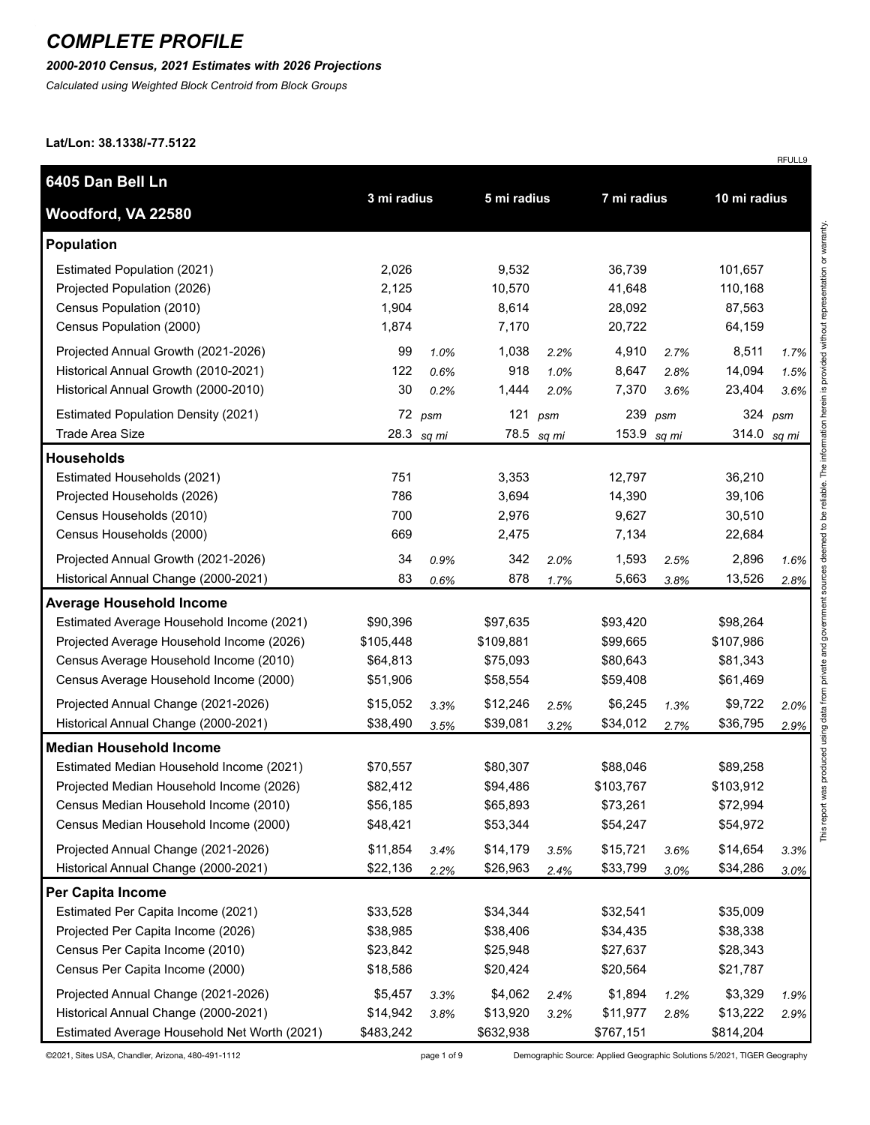*2000-2010 Census, 2021 Estimates with 2026 Projections*

*Calculated using Weighted Block Centroid from Block Groups*

#### **Lat/Lon: 38.1338/-77.5122**

| 6405 Dan Bell Ln                                                                                                                                                                                                                                                                        |                                                                      |                      |                                                                      |                         |                                                                       |                      |                                                                       |                      |
|-----------------------------------------------------------------------------------------------------------------------------------------------------------------------------------------------------------------------------------------------------------------------------------------|----------------------------------------------------------------------|----------------------|----------------------------------------------------------------------|-------------------------|-----------------------------------------------------------------------|----------------------|-----------------------------------------------------------------------|----------------------|
| Woodford, VA 22580                                                                                                                                                                                                                                                                      | 3 mi radius                                                          |                      | 5 mi radius                                                          |                         | 7 mi radius                                                           |                      | 10 mi radius                                                          |                      |
| <b>Population</b>                                                                                                                                                                                                                                                                       |                                                                      |                      |                                                                      |                         |                                                                       |                      |                                                                       |                      |
| Estimated Population (2021)<br>Projected Population (2026)<br>Census Population (2010)<br>Census Population (2000)                                                                                                                                                                      | 2,026<br>2,125<br>1,904<br>1,874                                     |                      | 9,532<br>10,570<br>8,614<br>7,170                                    |                         | 36,739<br>41,648<br>28,092<br>20,722                                  |                      | 101,657<br>110,168<br>87,563<br>64,159                                |                      |
| Projected Annual Growth (2021-2026)<br>Historical Annual Growth (2010-2021)<br>Historical Annual Growth (2000-2010)                                                                                                                                                                     | 99<br>122<br>30                                                      | 1.0%<br>0.6%<br>0.2% | 1,038<br>918<br>1,444                                                | 2.2%<br>1.0%<br>2.0%    | 4,910<br>8,647<br>7,370                                               | 2.7%<br>2.8%<br>3.6% | 8,511<br>14,094<br>23,404                                             | 1.7%<br>1.5%<br>3.6% |
| <b>Estimated Population Density (2021)</b><br>Trade Area Size                                                                                                                                                                                                                           | 28.3                                                                 | 72 psm<br>sq mi      |                                                                      | 121 $psm$<br>78.5 sq mi | 239<br>153.9 sq mi                                                    | psm                  | 324<br>314.0                                                          | psm<br>sq mi         |
| <b>Households</b>                                                                                                                                                                                                                                                                       |                                                                      |                      |                                                                      |                         |                                                                       |                      |                                                                       |                      |
| Estimated Households (2021)<br>Projected Households (2026)<br>Census Households (2010)<br>Census Households (2000)                                                                                                                                                                      | 751<br>786<br>700<br>669                                             |                      | 3,353<br>3,694<br>2,976<br>2,475                                     |                         | 12,797<br>14,390<br>9,627<br>7,134                                    |                      | 36,210<br>39,106<br>30,510<br>22,684                                  |                      |
| Projected Annual Growth (2021-2026)<br>Historical Annual Change (2000-2021)                                                                                                                                                                                                             | 34<br>83                                                             | 0.9%<br>0.6%         | 342<br>878                                                           | 2.0%<br>1.7%            | 1,593<br>5,663                                                        | 2.5%<br>3.8%         | 2,896<br>13,526                                                       | 1.6%<br>2.8%         |
| <b>Average Household Income</b>                                                                                                                                                                                                                                                         |                                                                      |                      |                                                                      |                         |                                                                       |                      |                                                                       |                      |
| Estimated Average Household Income (2021)<br>Projected Average Household Income (2026)<br>Census Average Household Income (2010)<br>Census Average Household Income (2000)<br>Projected Annual Change (2021-2026)                                                                       | \$90,396<br>\$105,448<br>\$64,813<br>\$51,906<br>\$15,052            | 3.3%                 | \$97,635<br>\$109,881<br>\$75,093<br>\$58,554<br>\$12,246            | 2.5%                    | \$93,420<br>\$99,665<br>\$80,643<br>\$59,408<br>\$6,245               | 1.3%                 | \$98,264<br>\$107,986<br>\$81,343<br>\$61,469<br>\$9,722              | 2.0%                 |
| Historical Annual Change (2000-2021)                                                                                                                                                                                                                                                    | \$38,490                                                             | 3.5%                 | \$39,081                                                             | 3.2%                    | \$34,012                                                              | 2.7%                 | \$36,795                                                              | 2.9%                 |
| <b>Median Household Income</b><br>Estimated Median Household Income (2021)<br>Projected Median Household Income (2026)<br>Census Median Household Income (2010)<br>Census Median Household Income (2000)<br>Projected Annual Change (2021-2026)<br>Historical Annual Change (2000-2021) | \$70,557<br>\$82,412<br>\$56,185<br>\$48,421<br>\$11,854<br>\$22,136 | 3.4%<br>2.2%         | \$80,307<br>\$94,486<br>\$65,893<br>\$53,344<br>\$14,179<br>\$26,963 | 3.5%<br>2.4%            | \$88,046<br>\$103,767<br>\$73,261<br>\$54,247<br>\$15,721<br>\$33,799 | 3.6%<br>3.0%         | \$89,258<br>\$103,912<br>\$72,994<br>\$54,972<br>\$14,654<br>\$34,286 | 3.3%<br>3.0%         |
| Per Capita Income                                                                                                                                                                                                                                                                       |                                                                      |                      |                                                                      |                         |                                                                       |                      |                                                                       |                      |
| Estimated Per Capita Income (2021)<br>Projected Per Capita Income (2026)<br>Census Per Capita Income (2010)<br>Census Per Capita Income (2000)                                                                                                                                          | \$33,528<br>\$38,985<br>\$23,842<br>\$18,586                         |                      | \$34,344<br>\$38,406<br>\$25,948<br>\$20,424                         |                         | \$32,541<br>\$34,435<br>\$27,637<br>\$20,564                          |                      | \$35,009<br>\$38,338<br>\$28,343<br>\$21,787                          |                      |
| Projected Annual Change (2021-2026)<br>Historical Annual Change (2000-2021)<br>Estimated Average Household Net Worth (2021)                                                                                                                                                             | \$5,457<br>\$14,942<br>\$483,242                                     | 3.3%<br>3.8%         | \$4,062<br>\$13,920<br>\$632,938                                     | 2.4%<br>3.2%            | \$1,894<br>\$11,977<br>\$767,151                                      | 1.2%<br>2.8%         | \$3,329<br>\$13,222<br>\$814,204                                      | 1.9%<br>2.9%         |

©2021, Sites USA, Chandler, Arizona, 480-491-1112 page 1 of 9 Demographic Source: Applied Geographic Solutions 5/2021, TIGER Geography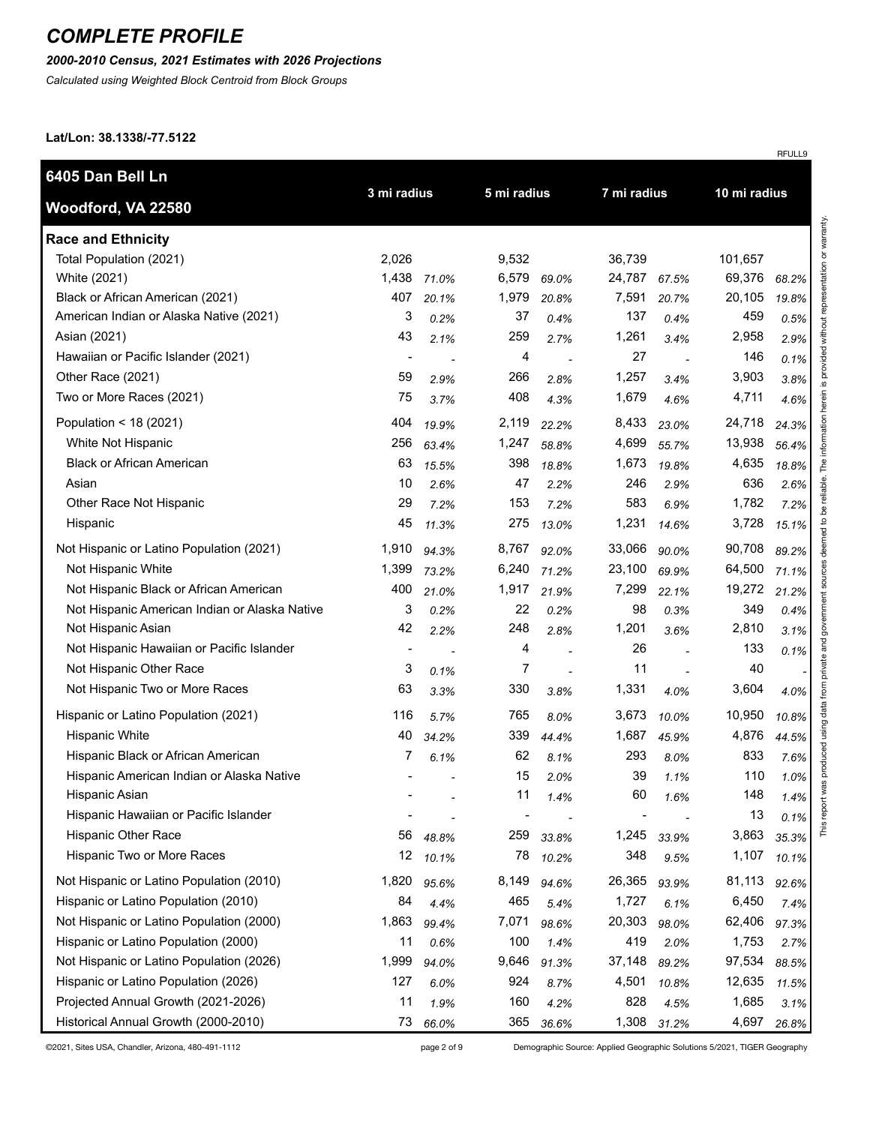### *2000-2010 Census, 2021 Estimates with 2026 Projections*

*Calculated using Weighted Block Centroid from Block Groups*

**Lat/Lon: 38.1338/-77.5122**

| 6405 Dan Bell Ln                              |                          |       |             |       |             |       |              |       |
|-----------------------------------------------|--------------------------|-------|-------------|-------|-------------|-------|--------------|-------|
| Woodford, VA 22580                            | 3 mi radius              |       | 5 mi radius |       | 7 mi radius |       | 10 mi radius |       |
| <b>Race and Ethnicity</b>                     |                          |       |             |       |             |       |              |       |
| Total Population (2021)                       | 2,026                    |       | 9,532       |       | 36,739      |       | 101,657      |       |
| White (2021)                                  | 1,438                    | 71.0% | 6,579       | 69.0% | 24,787      | 67.5% | 69,376       | 68.2% |
| Black or African American (2021)              | 407                      | 20.1% | 1,979       | 20.8% | 7,591       | 20.7% | 20,105       | 19.8% |
| American Indian or Alaska Native (2021)       | 3                        | 0.2%  | 37          | 0.4%  | 137         | 0.4%  | 459          | 0.5%  |
| Asian (2021)                                  | 43                       | 2.1%  | 259         | 2.7%  | 1,261       | 3.4%  | 2,958        | 2.9%  |
| Hawaiian or Pacific Islander (2021)           | $\overline{\phantom{a}}$ |       | 4           |       | 27          |       | 146          | 0.1%  |
| Other Race (2021)                             | 59                       | 2.9%  | 266         | 2.8%  | 1,257       | 3.4%  | 3,903        | 3.8%  |
| Two or More Races (2021)                      | 75                       | 3.7%  | 408         | 4.3%  | 1,679       | 4.6%  | 4,711        | 4.6%  |
| Population < 18 (2021)                        | 404                      | 19.9% | 2,119       | 22.2% | 8,433       | 23.0% | 24,718       | 24.3% |
| White Not Hispanic                            | 256                      | 63.4% | 1,247       | 58.8% | 4,699       | 55.7% | 13,938       | 56.4% |
| <b>Black or African American</b>              | 63                       | 15.5% | 398         | 18.8% | 1,673       | 19.8% | 4,635        | 18.8% |
| Asian                                         | 10                       | 2.6%  | 47          | 2.2%  | 246         | 2.9%  | 636          | 2.6%  |
| Other Race Not Hispanic                       | 29                       | 7.2%  | 153         | 7.2%  | 583         | 6.9%  | 1,782        | 7.2%  |
| Hispanic                                      | 45                       | 11.3% | 275         | 13.0% | 1,231       | 14.6% | 3,728        | 15.1% |
| Not Hispanic or Latino Population (2021)      | 1,910                    | 94.3% | 8,767       | 92.0% | 33,066      | 90.0% | 90,708       | 89.2% |
| Not Hispanic White                            | 1,399                    | 73.2% | 6,240       | 71.2% | 23,100      | 69.9% | 64,500       | 71.1% |
| Not Hispanic Black or African American        | 400                      | 21.0% | 1,917       | 21.9% | 7,299       | 22.1% | 19,272       | 21.2% |
| Not Hispanic American Indian or Alaska Native | 3                        | 0.2%  | 22          | 0.2%  | 98          | 0.3%  | 349          | 0.4%  |
| Not Hispanic Asian                            | 42                       | 2.2%  | 248         | 2.8%  | 1,201       | 3.6%  | 2,810        | 3.1%  |
| Not Hispanic Hawaiian or Pacific Islander     | $\blacksquare$           |       | 4           |       | 26          |       | 133          | 0.1%  |
| Not Hispanic Other Race                       | 3                        | 0.1%  | 7           |       | 11          |       | 40           |       |
| Not Hispanic Two or More Races                | 63                       | 3.3%  | 330         | 3.8%  | 1,331       | 4.0%  | 3,604        | 4.0%  |
| Hispanic or Latino Population (2021)          | 116                      | 5.7%  | 765         | 8.0%  | 3,673       | 10.0% | 10,950       | 10.8% |
| Hispanic White                                | 40                       | 34.2% | 339         | 44.4% | 1,687       | 45.9% | 4,876        | 44.5% |
| Hispanic Black or African American            | 7                        | 6.1%  | 62          | 8.1%  | 293         | 8.0%  | 833          | 7.6%  |
| Hispanic American Indian or Alaska Native     |                          |       | 15          | 2.0%  | 39          | 1.1%  | 110          | 1.0%  |
| Hispanic Asian                                |                          |       | 11          | 1.4%  | 60          | 1.6%  | 148          | 1.4%  |
| Hispanic Hawaiian or Pacific Islander         |                          |       |             |       |             |       | 13           | 0.1%  |
| <b>Hispanic Other Race</b>                    | 56                       | 48.8% | 259         | 33.8% | 1,245       | 33.9% | 3,863        | 35.3% |
| Hispanic Two or More Races                    | 12                       | 10.1% | 78          | 10.2% | 348         | 9.5%  | 1,107        | 10.1% |
| Not Hispanic or Latino Population (2010)      | 1,820                    | 95.6% | 8,149       | 94.6% | 26,365      | 93.9% | 81,113       | 92.6% |
| Hispanic or Latino Population (2010)          | 84                       | 4.4%  | 465         | 5.4%  | 1,727       | 6.1%  | 6,450        | 7.4%  |
| Not Hispanic or Latino Population (2000)      | 1,863                    | 99.4% | 7,071       | 98.6% | 20,303      | 98.0% | 62,406       | 97.3% |
| Hispanic or Latino Population (2000)          | 11                       | 0.6%  | 100         | 1.4%  | 419         | 2.0%  | 1,753        | 2.7%  |
| Not Hispanic or Latino Population (2026)      | 1,999                    | 94.0% | 9,646       | 91.3% | 37,148      | 89.2% | 97,534       | 88.5% |
| Hispanic or Latino Population (2026)          | 127                      | 6.0%  | 924         | 8.7%  | 4,501       | 10.8% | 12,635       | 11.5% |
| Projected Annual Growth (2021-2026)           | 11                       | 1.9%  | 160         | 4.2%  | 828         | 4.5%  | 1,685        | 3.1%  |
| Historical Annual Growth (2000-2010)          | 73                       | 66.0% | 365         | 36.6% | 1,308       | 31.2% | 4,697        | 26.8% |

©2021, Sites USA, Chandler, Arizona, 480-491-1112 page 2 of 9 Demographic Source: Applied Geographic Solutions 5/2021, TIGER Geography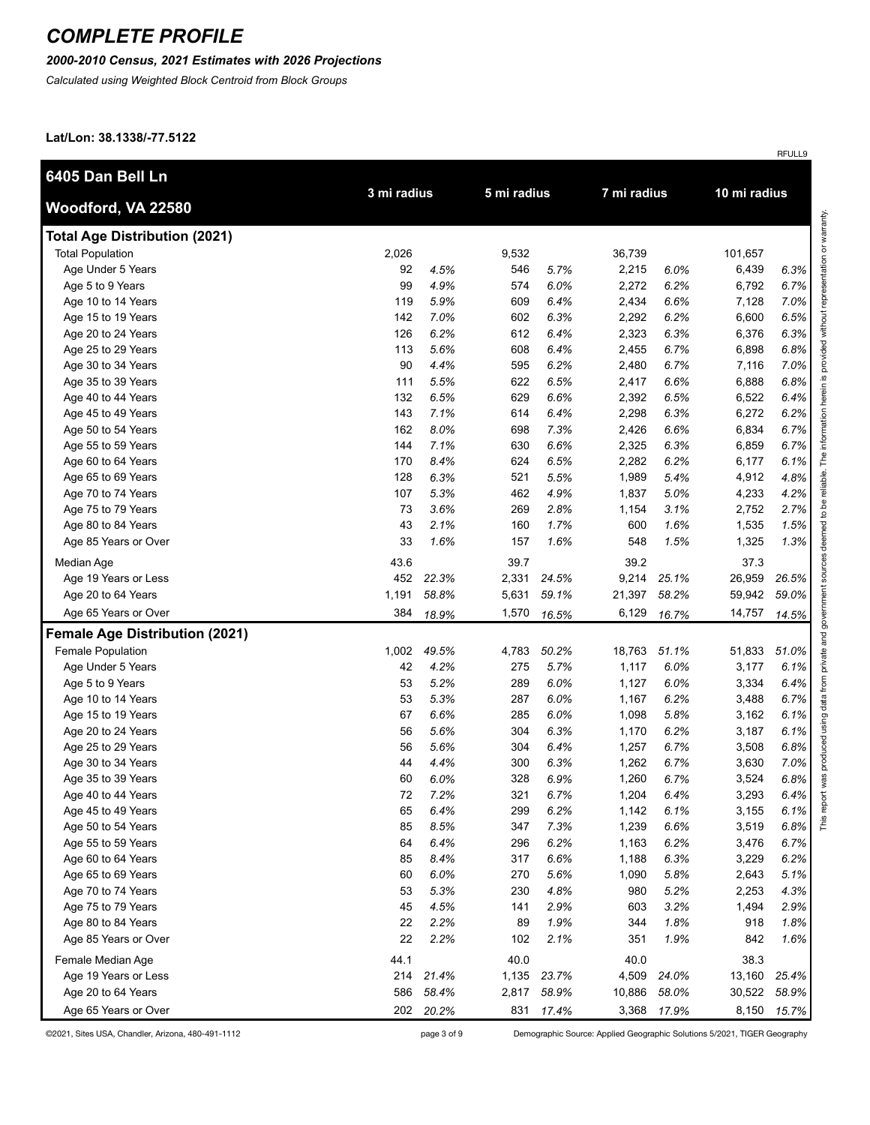#### *2000-2010 Census, 2021 Estimates with 2026 Projections*

*Calculated using Weighted Block Centroid from Block Groups*

#### **Lat/Lon: 38.1338/-77.5122**

|                                       |             |           |             |           |             |             |              | RFULL9 |
|---------------------------------------|-------------|-----------|-------------|-----------|-------------|-------------|--------------|--------|
| 6405 Dan Bell Ln                      |             |           |             |           |             |             |              |        |
| Woodford, VA 22580                    | 3 mi radius |           | 5 mi radius |           | 7 mi radius |             | 10 mi radius |        |
| <b>Total Age Distribution (2021)</b>  |             |           |             |           |             |             |              |        |
| <b>Total Population</b>               | 2,026       |           | 9,532       |           | 36,739      |             | 101,657      |        |
| Age Under 5 Years                     | 92          | 4.5%      | 546         | 5.7%      | 2,215       | 6.0%        | 6,439        | 6.3%   |
| Age 5 to 9 Years                      | 99          | 4.9%      | 574         | 6.0%      | 2,272       | 6.2%        | 6,792        | 6.7%   |
| Age 10 to 14 Years                    | 119         | 5.9%      | 609         | 6.4%      | 2,434       | 6.6%        | 7,128        | 7.0%   |
| Age 15 to 19 Years                    | 142         | 7.0%      | 602         | 6.3%      | 2,292       | 6.2%        | 6,600        | 6.5%   |
| Age 20 to 24 Years                    | 126         | 6.2%      | 612         | 6.4%      | 2,323       | 6.3%        | 6,376        | 6.3%   |
| Age 25 to 29 Years                    | 113         | 5.6%      | 608         | 6.4%      | 2,455       | 6.7%        | 6,898        | 6.8%   |
| Age 30 to 34 Years                    | 90          | 4.4%      | 595         | 6.2%      | 2,480       | 6.7%        | 7,116        | 7.0%   |
| Age 35 to 39 Years                    | 111         | 5.5%      | 622         | 6.5%      | 2,417       | 6.6%        | 6,888        | 6.8%   |
| Age 40 to 44 Years                    | 132         | 6.5%      | 629         | 6.6%      | 2,392       | 6.5%        | 6,522        | 6.4%   |
| Age 45 to 49 Years                    | 143         | 7.1%      | 614         | 6.4%      | 2,298       | 6.3%        | 6,272        | 6.2%   |
| Age 50 to 54 Years                    | 162         | 8.0%      | 698         | 7.3%      | 2,426       | 6.6%        | 6,834        | 6.7%   |
| Age 55 to 59 Years                    | 144         | 7.1%      | 630         | 6.6%      | 2,325       | 6.3%        | 6,859        | 6.7%   |
| Age 60 to 64 Years                    | 170         | 8.4%      | 624         | 6.5%      | 2,282       | 6.2%        | 6,177        | 6.1%   |
| Age 65 to 69 Years                    | 128         | 6.3%      | 521         | 5.5%      | 1,989       | 5.4%        | 4,912        | 4.8%   |
| Age 70 to 74 Years                    | 107         | 5.3%      | 462         | 4.9%      | 1,837       | 5.0%        | 4,233        | 4.2%   |
| Age 75 to 79 Years                    | 73          | 3.6%      | 269         | 2.8%      | 1,154       | 3.1%        | 2,752        | 2.7%   |
| Age 80 to 84 Years                    | 43          | 2.1%      | 160         | 1.7%      | 600         | 1.6%        | 1,535        | 1.5%   |
| Age 85 Years or Over                  | 33          | 1.6%      | 157         | 1.6%      | 548         | 1.5%        | 1,325        | 1.3%   |
| Median Age                            | 43.6        |           | 39.7        |           | 39.2        |             | 37.3         |        |
| Age 19 Years or Less                  | 452         | 22.3%     | 2,331       | 24.5%     | 9,214       | 25.1%       | 26,959       | 26.5%  |
| Age 20 to 64 Years                    | 1,191       | 58.8%     | 5,631       | 59.1%     | 21,397      | 58.2%       | 59,942       | 59.0%  |
| Age 65 Years or Over                  | 384         | 18.9%     | 1,570       | 16.5%     | 6,129       | 16.7%       | 14,757       | 14.5%  |
| <b>Female Age Distribution (2021)</b> |             |           |             |           |             |             |              |        |
| Female Population                     | 1,002       | 49.5%     | 4,783       | 50.2%     | 18,763      | 51.1%       | 51,833       | 51.0%  |
| Age Under 5 Years                     | 42          | 4.2%      | 275         | 5.7%      | 1,117       | 6.0%        | 3,177        | 6.1%   |
| Age 5 to 9 Years                      | 53          | 5.2%      | 289         | 6.0%      | 1,127       | 6.0%        | 3,334        | 6.4%   |
| Age 10 to 14 Years                    | 53          | 5.3%      | 287         | 6.0%      | 1,167       | 6.2%        | 3,488        | 6.7%   |
| Age 15 to 19 Years                    | 67          | 6.6%      | 285         | 6.0%      | 1,098       | 5.8%        | 3,162        | 6.1%   |
| Age 20 to 24 Years                    | 56          | 5.6%      | 304         | 6.3%      | 1,170       | 6.2%        | 3,187        | 6.1%   |
| Age 25 to 29 Years                    | 56          | 5.6%      | 304         | 6.4%      | 1,257       | 6.7%        | 3,508        | 6.8%   |
| Age 30 to 34 Years                    | 44          | 4.4%      | 300         | 6.3%      | 1,262       | 6.7%        | 3,630        | 7.0%   |
| Age 35 to 39 Years                    | 60          | 6.0%      | 328         | 6.9%      | 1,260       | 6.7%        | 3,524        | 6.8%   |
| Age 40 to 44 Years                    | 72          | 7.2%      | 321         | 6.7%      | 1,204       | 6.4%        | 3,293        | 6.4%   |
| Age 45 to 49 Years                    | 65          | 6.4%      | 299         | 6.2%      | 1,142       | 6.1%        | 3,155        | 6.1%   |
| Age 50 to 54 Years                    | 85          | 8.5%      | 347         | 7.3%      | 1,239       | 6.6%        | 3,519        | 6.8%   |
| Age 55 to 59 Years                    | 64          | 6.4%      | 296         | 6.2%      | 1,163       | 6.2%        | 3,476        | 6.7%   |
| Age 60 to 64 Years                    | 85          | 8.4%      | 317         | 6.6%      | 1,188       | 6.3%        | 3,229        | 6.2%   |
| Age 65 to 69 Years                    | 60          | 6.0%      | 270         | 5.6%      | 1,090       | 5.8%        | 2,643        | 5.1%   |
| Age 70 to 74 Years                    | 53          | 5.3%      | 230         | 4.8%      | 980         | 5.2%        | 2,253        | 4.3%   |
| Age 75 to 79 Years                    | 45          | 4.5%      | 141         | 2.9%      | 603         | 3.2%        | 1,494        | 2.9%   |
| Age 80 to 84 Years                    | 22          | 2.2%      | 89          | 1.9%      | 344         | 1.8%        | 918          | 1.8%   |
| Age 85 Years or Over                  | 22          | 2.2%      | 102         | 2.1%      | 351         | 1.9%        | 842          | 1.6%   |
| Female Median Age                     | 44.1        |           | 40.0        |           | 40.0        |             | 38.3         |        |
| Age 19 Years or Less                  | 214         | 21.4%     | 1,135       | 23.7%     | 4,509       | 24.0%       | 13,160       | 25.4%  |
| Age 20 to 64 Years                    | 586         | 58.4%     | 2,817       | 58.9%     | 10,886      | 58.0%       | 30,522       | 58.9%  |
| Age 65 Years or Over                  |             | 202 20.2% |             | 831 17.4% |             | 3,368 17.9% | 8,150        | 15.7%  |

©2021, Sites USA, Chandler, Arizona, 480-491-1112 page 3 of 9 Demographic Source: Applied Geographic Solutions 5/2021, TIGER Geography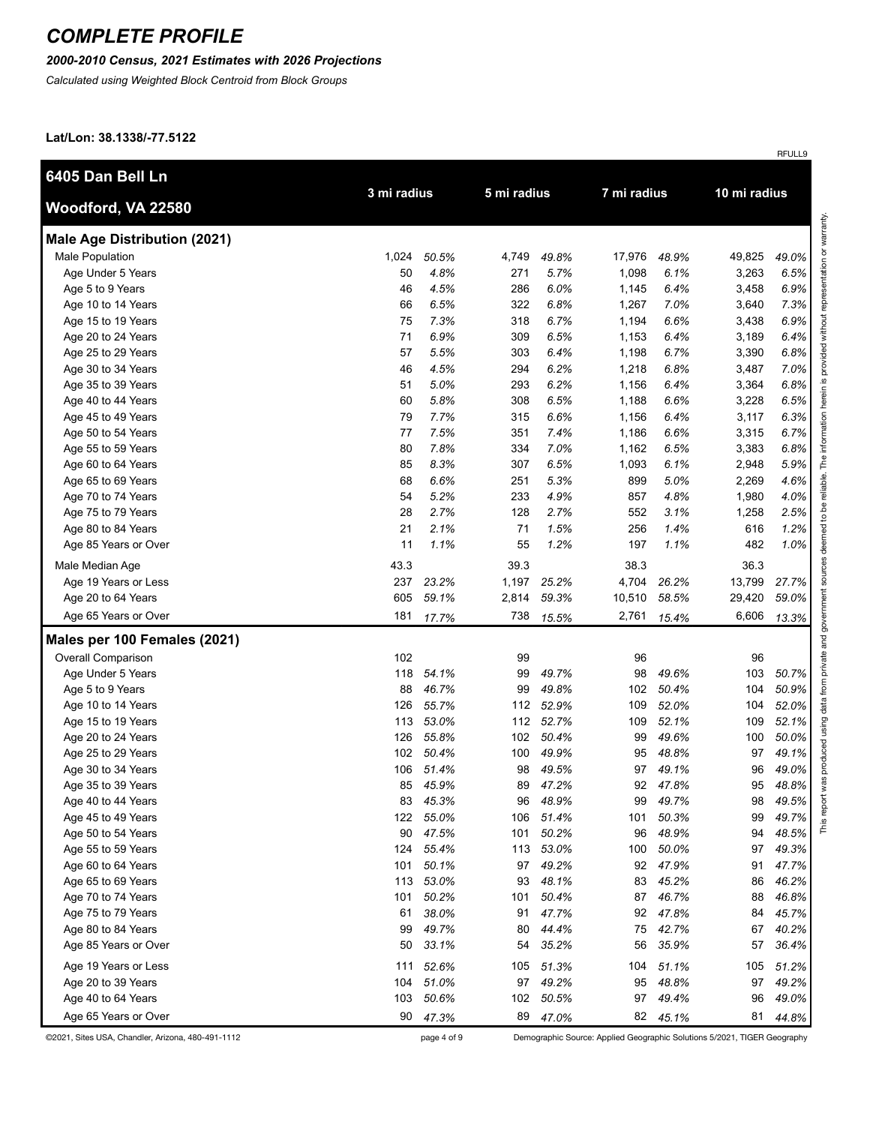### *2000-2010 Census, 2021 Estimates with 2026 Projections*

*Calculated using Weighted Block Centroid from Block Groups*

**Lat/Lon: 38.1338/-77.5122**

| 6405 Dan Bell Ln                    |             |       |             |       |        |             |        |              |  |
|-------------------------------------|-------------|-------|-------------|-------|--------|-------------|--------|--------------|--|
| Woodford, VA 22580                  | 3 mi radius |       | 5 mi radius |       |        | 7 mi radius |        | 10 mi radius |  |
| <b>Male Age Distribution (2021)</b> |             |       |             |       |        |             |        |              |  |
| Male Population                     | 1,024       | 50.5% | 4,749       | 49.8% | 17,976 | 48.9%       | 49,825 | 49.0%        |  |
| Age Under 5 Years                   | 50          | 4.8%  | 271         | 5.7%  | 1,098  | 6.1%        | 3,263  | 6.5%         |  |
| Age 5 to 9 Years                    | 46          | 4.5%  | 286         | 6.0%  | 1,145  | 6.4%        | 3,458  | 6.9%         |  |
| Age 10 to 14 Years                  | 66          | 6.5%  | 322         | 6.8%  | 1,267  | 7.0%        | 3,640  | 7.3%         |  |
| Age 15 to 19 Years                  | 75          | 7.3%  | 318         | 6.7%  | 1,194  | 6.6%        | 3,438  | 6.9%         |  |
| Age 20 to 24 Years                  | 71          | 6.9%  | 309         | 6.5%  | 1,153  | 6.4%        | 3,189  | 6.4%         |  |
| Age 25 to 29 Years                  | 57          | 5.5%  | 303         | 6.4%  | 1,198  | 6.7%        | 3,390  | 6.8%         |  |
| Age 30 to 34 Years                  | 46          | 4.5%  | 294         | 6.2%  | 1,218  | 6.8%        | 3,487  | 7.0%         |  |
| Age 35 to 39 Years                  | 51          | 5.0%  | 293         | 6.2%  | 1,156  | 6.4%        | 3,364  | 6.8%         |  |
| Age 40 to 44 Years                  | 60          | 5.8%  | 308         | 6.5%  | 1,188  | 6.6%        | 3,228  | 6.5%         |  |
| Age 45 to 49 Years                  | 79          | 7.7%  | 315         | 6.6%  | 1,156  | 6.4%        | 3,117  | 6.3%         |  |
| Age 50 to 54 Years                  | 77          | 7.5%  | 351         | 7.4%  | 1,186  | 6.6%        | 3,315  | 6.7%         |  |
| Age 55 to 59 Years                  | 80          | 7.8%  | 334         | 7.0%  | 1,162  | 6.5%        | 3,383  | 6.8%         |  |
| Age 60 to 64 Years                  | 85          | 8.3%  | 307         | 6.5%  | 1,093  | 6.1%        | 2,948  | 5.9%         |  |
| Age 65 to 69 Years                  | 68          | 6.6%  | 251         | 5.3%  | 899    | 5.0%        | 2,269  | 4.6%         |  |
| Age 70 to 74 Years                  | 54          | 5.2%  | 233         | 4.9%  | 857    | 4.8%        | 1,980  | 4.0%         |  |
| Age 75 to 79 Years                  | 28          | 2.7%  | 128         | 2.7%  | 552    | 3.1%        | 1,258  | 2.5%         |  |
| Age 80 to 84 Years                  | 21          | 2.1%  | 71          | 1.5%  | 256    | 1.4%        | 616    | 1.2%         |  |
| Age 85 Years or Over                | 11          | 1.1%  | 55          | 1.2%  | 197    | 1.1%        | 482    | 1.0%         |  |
| Male Median Age                     | 43.3        |       | 39.3        |       | 38.3   |             | 36.3   |              |  |
| Age 19 Years or Less                | 237         | 23.2% | 1,197       | 25.2% | 4,704  | 26.2%       | 13,799 | 27.7%        |  |
| Age 20 to 64 Years                  | 605         | 59.1% | 2,814       | 59.3% | 10,510 | 58.5%       | 29,420 | 59.0%        |  |
| Age 65 Years or Over                | 181         | 17.7% | 738         | 15.5% | 2,761  | 15.4%       | 6,606  | 13.3%        |  |
| Males per 100 Females (2021)        |             |       |             |       |        |             |        |              |  |
| <b>Overall Comparison</b>           | 102         |       | 99          |       | 96     |             | 96     |              |  |
| Age Under 5 Years                   | 118         | 54.1% | 99          | 49.7% | 98     | 49.6%       | 103    | 50.7%        |  |
| Age 5 to 9 Years                    | 88          | 46.7% | 99          | 49.8% | 102    | 50.4%       | 104    | 50.9%        |  |
| Age 10 to 14 Years                  | 126         | 55.7% | 112         | 52.9% | 109    | 52.0%       | 104    | 52.0%        |  |
| Age 15 to 19 Years                  | 113         | 53.0% | 112         | 52.7% | 109    | 52.1%       | 109    | 52.1%        |  |
| Age 20 to 24 Years                  | 126         | 55.8% | 102         | 50.4% | 99     | 49.6%       | 100    | 50.0%        |  |
| Age 25 to 29 Years                  | 102         | 50.4% | 100         | 49.9% | 95     | 48.8%       | 97     | 49.1%        |  |
| Age 30 to 34 Years                  | 106         | 51.4% | 98          | 49.5% | 97     | 49.1%       | 96     | 49.0%        |  |
| Age 35 to 39 Years                  | 85          | 45.9% | 89          | 47.2% | 92     | 47.8%       | 95     | 48.8%        |  |
| Age 40 to 44 Years                  | 83          | 45.3% | 96          | 48.9% | 99     | 49.7%       | 98     | 49.5%        |  |
| Age 45 to 49 Years                  | 122         | 55.0% | 106         | 51.4% | 101    | 50.3%       | 99     | 49.7%        |  |
| Age 50 to 54 Years                  | 90          | 47.5% | 101         | 50.2% | 96     | 48.9%       | 94     | 48.5%        |  |
| Age 55 to 59 Years                  | 124         | 55.4% | 113         | 53.0% | 100    | 50.0%       | 97     | 49.3%        |  |
| Age 60 to 64 Years                  | 101         | 50.1% | 97          | 49.2% | 92     | 47.9%       | 91     | 47.7%        |  |
| Age 65 to 69 Years                  | 113         | 53.0% | 93          | 48.1% | 83     | 45.2%       | 86     | 46.2%        |  |
| Age 70 to 74 Years                  | 101         | 50.2% | 101         | 50.4% | 87     | 46.7%       | 88     | 46.8%        |  |
| Age 75 to 79 Years                  | 61          | 38.0% | 91          | 47.7% | 92     | 47.8%       | 84     | 45.7%        |  |
| Age 80 to 84 Years                  | 99          | 49.7% | 80          | 44.4% | 75     | 42.7%       | 67     | 40.2%        |  |
| Age 85 Years or Over                | 50          | 33.1% | 54          | 35.2% | 56     | 35.9%       | 57     | 36.4%        |  |
| Age 19 Years or Less                | 111         | 52.6% | 105         | 51.3% | 104    | 51.1%       | 105    | 51.2%        |  |
| Age 20 to 39 Years                  | 104         | 51.0% | 97          | 49.2% | 95     | 48.8%       | 97     | 49.2%        |  |
| Age 40 to 64 Years                  | 103         | 50.6% | 102         | 50.5% | 97     | 49.4%       | 96     | 49.0%        |  |
| Age 65 Years or Over                | 90          | 47.3% | 89          | 47.0% |        | 82 45.1%    | 81     | 44.8%        |  |

©2021, Sites USA, Chandler, Arizona, 480-491-1112 page 4 of 9 Demographic Source: Applied Geographic Solutions 5/2021, TIGER Geography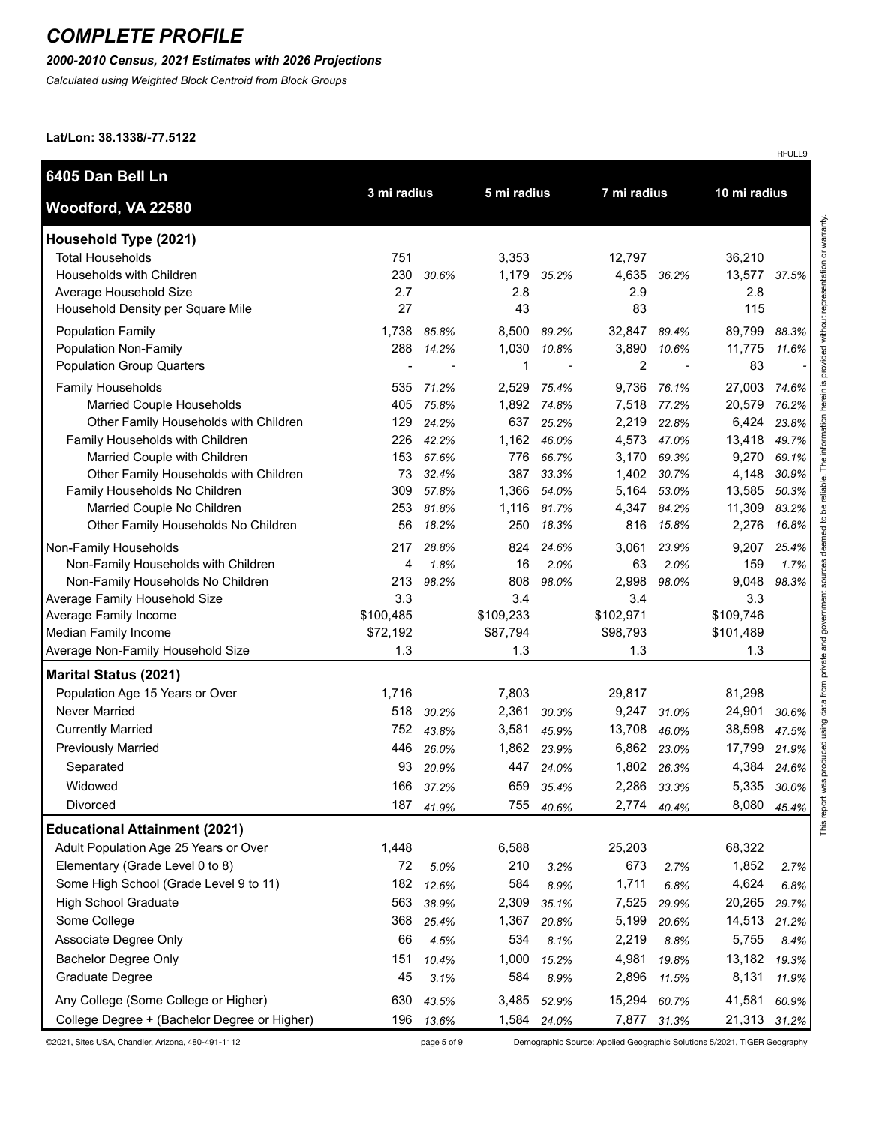#### *2000-2010 Census, 2021 Estimates with 2026 Projections*

*Calculated using Weighted Block Centroid from Block Groups*

**Lat/Lon: 38.1338/-77.5122**

| 6405 Dan Bell Ln                                                                                                                                                                    |                                                 |                                           |                                                  |                                           |                                                      |                                           |                                              |                                           |
|-------------------------------------------------------------------------------------------------------------------------------------------------------------------------------------|-------------------------------------------------|-------------------------------------------|--------------------------------------------------|-------------------------------------------|------------------------------------------------------|-------------------------------------------|----------------------------------------------|-------------------------------------------|
| Woodford, VA 22580                                                                                                                                                                  | 3 mi radius                                     |                                           | 5 mi radius                                      |                                           | 7 mi radius                                          |                                           | 10 mi radius                                 |                                           |
| Household Type (2021)<br><b>Total Households</b><br>Households with Children                                                                                                        | 751<br>230                                      | 30.6%                                     | 3,353<br>1,179                                   | 35.2%                                     | 12,797<br>4,635                                      | 36.2%                                     | 36,210<br>13,577                             | 37.5%                                     |
| Average Household Size<br>Household Density per Square Mile                                                                                                                         | 2.7<br>27                                       |                                           | 2.8<br>43                                        |                                           | 2.9<br>83                                            |                                           | 2.8<br>115                                   |                                           |
| <b>Population Family</b><br>Population Non-Family<br><b>Population Group Quarters</b>                                                                                               | 1,738<br>288                                    | 85.8%<br>14.2%                            | 8,500<br>1,030<br>$\mathbf 1$                    | 89.2%<br>10.8%                            | 32,847<br>3,890<br>$\boldsymbol{2}$                  | 89.4%<br>10.6%                            | 89,799<br>11,775<br>83                       | 88.3%<br>11.6%                            |
| <b>Family Households</b><br>Married Couple Households<br>Other Family Households with Children<br>Family Households with Children<br>Married Couple with Children                   | 535<br>405<br>129<br>226<br>153                 | 71.2%<br>75.8%<br>24.2%<br>42.2%<br>67.6% | 2,529<br>1,892<br>637<br>1,162<br>776            | 75.4%<br>74.8%<br>25.2%<br>46.0%<br>66.7% | 9,736<br>7,518<br>2,219<br>4,573<br>3,170            | 76.1%<br>77.2%<br>22.8%<br>47.0%<br>69.3% | 27,003<br>20,579<br>6,424<br>13,418<br>9,270 | 74.6%<br>76.2%<br>23.8%<br>49.7%<br>69.1% |
| Other Family Households with Children<br>Family Households No Children<br>Married Couple No Children<br>Other Family Households No Children                                         | 73<br>309<br>253<br>56                          | 32.4%<br>57.8%<br>81.8%<br>18.2%          | 387<br>1,366<br>1,116<br>250                     | 33.3%<br>54.0%<br>81.7%<br>18.3%          | 1,402<br>5,164<br>4,347<br>816                       | 30.7%<br>53.0%<br>84.2%<br>15.8%          | 4,148<br>13,585<br>11,309<br>2,276           | 30.9%<br>50.3%<br>83.2%<br>16.8%          |
| Non-Family Households<br>Non-Family Households with Children<br>Non-Family Households No Children<br>Average Family Household Size<br>Average Family Income<br>Median Family Income | 217<br>4<br>213<br>3.3<br>\$100,485<br>\$72,192 | 28.8%<br>1.8%<br>98.2%                    | 824<br>16<br>808<br>3.4<br>\$109,233<br>\$87,794 | 24.6%<br>2.0%<br>98.0%                    | 3,061<br>63<br>2,998<br>3.4<br>\$102,971<br>\$98,793 | 23.9%<br>2.0%<br>98.0%                    | 9,207<br>159<br>9,048<br>3.3<br>\$109,746    | 25.4%<br>1.7%<br>98.3%                    |
| Average Non-Family Household Size                                                                                                                                                   | 1.3                                             |                                           | 1.3                                              |                                           | 1.3                                                  |                                           | \$101,489<br>1.3                             |                                           |
| <b>Marital Status (2021)</b><br>Population Age 15 Years or Over<br>Never Married                                                                                                    | 1,716<br>518                                    | 30.2%                                     | 7,803<br>2,361                                   | 30.3%                                     | 29,817<br>9,247                                      | 31.0%                                     | 81,298<br>24,901                             | 30.6%                                     |
| <b>Currently Married</b><br><b>Previously Married</b><br>Separated                                                                                                                  | 752<br>446<br>93                                | 43.8%<br>26.0%<br>20.9%                   | 3,581<br>1,862<br>447                            | 45.9%<br>23.9%<br>24.0%                   | 13,708<br>6,862<br>1,802                             | 46.0%<br>23.0%<br>26.3%                   | 38,598<br>17,799<br>4,384                    | 47.5%<br>21.9%<br>24.6%                   |
| Widowed<br>Divorced                                                                                                                                                                 | 166<br>187                                      | 37.2%<br>41.9%                            | 659<br>755                                       | 35.4%<br>40.6%                            | 2,286<br>2,774                                       | 33.3%<br>40.4%                            | 5,335<br>8,080                               | 30.0%<br>45.4%                            |
| <b>Educational Attainment (2021)</b><br>Adult Population Age 25 Years or Over                                                                                                       | 1,448                                           |                                           | 6,588                                            |                                           | 25,203                                               |                                           | 68,322                                       |                                           |
| Elementary (Grade Level 0 to 8)<br>Some High School (Grade Level 9 to 11)                                                                                                           | 72<br>182                                       | 5.0%<br>12.6%                             | 210<br>584                                       | 3.2%<br>8.9%                              | 673<br>1,711                                         | 2.7%<br>6.8%                              | 1,852<br>4,624                               | 2.7%<br>6.8%                              |
| <b>High School Graduate</b><br>Some College<br>Associate Degree Only                                                                                                                | 563<br>368<br>66                                | 38.9%<br>25.4%<br>4.5%                    | 2,309<br>1,367<br>534                            | 35.1%<br>20.8%<br>8.1%                    | 7,525<br>5,199<br>2,219                              | 29.9%<br>20.6%<br>8.8%                    | 20,265<br>14,513<br>5,755                    | 29.7%<br>21.2%<br>8.4%                    |
| <b>Bachelor Degree Only</b><br>Graduate Degree                                                                                                                                      | 151<br>45                                       | 10.4%<br>3.1%                             | 1,000<br>584                                     | 15.2%<br>8.9%                             | 4,981<br>2,896                                       | 19.8%<br>11.5%                            | 13,182<br>8,131                              | 19.3%<br>11.9%                            |
| Any College (Some College or Higher)<br>College Degree + (Bachelor Degree or Higher)                                                                                                | 630<br>196                                      | 43.5%<br>13.6%                            | 3,485<br>1,584                                   | 52.9%<br>24.0%                            | 15,294<br>7,877                                      | 60.7%<br>31.3%                            | 41,581<br>21,313                             | 60.9%<br>31.2%                            |

©2021, Sites USA, Chandler, Arizona, 480-491-1112 page 5 of 9 Demographic Source: Applied Geographic Solutions 5/2021, TIGER Geography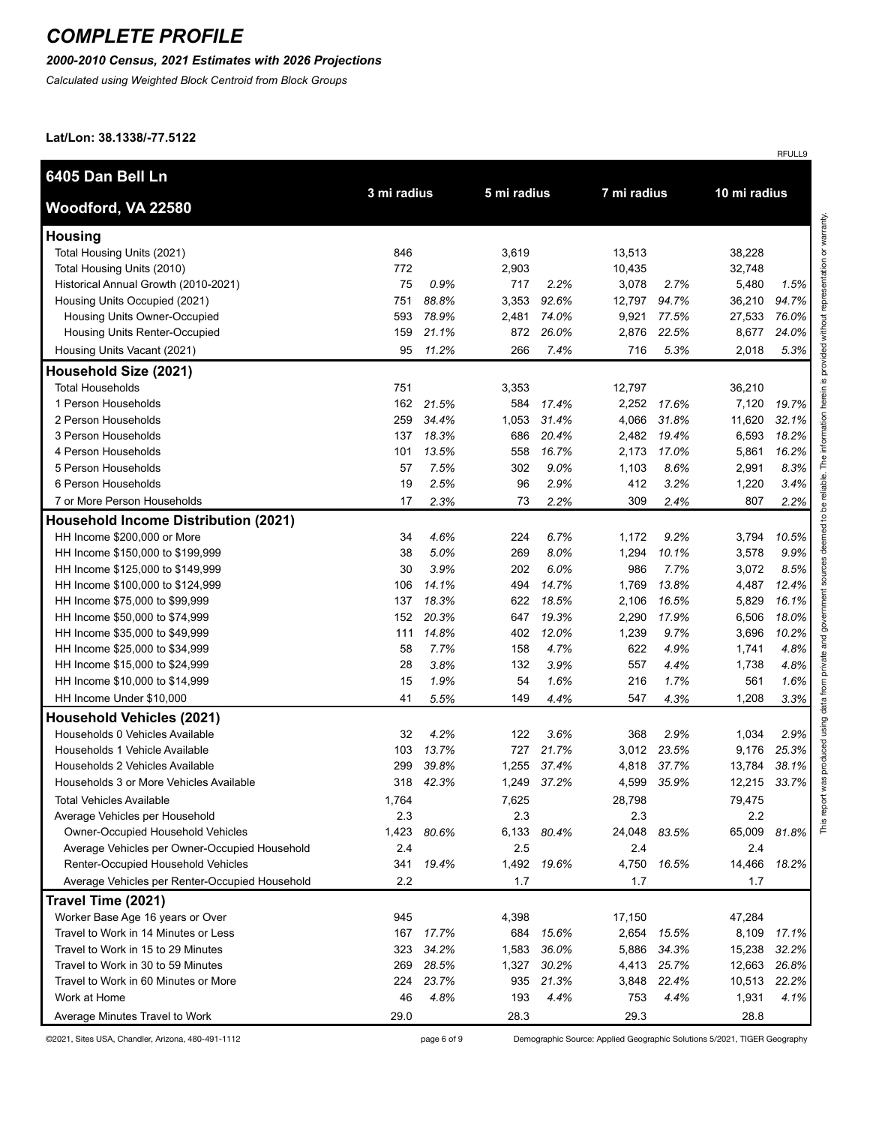### *2000-2010 Census, 2021 Estimates with 2026 Projections*

*Calculated using Weighted Block Centroid from Block Groups*

#### **Lat/Lon: 38.1338/-77.5122**

| 6405 Dan Bell Ln                               | 3 mi radius |       | 5 mi radius |             | 7 mi radius |       | 10 mi radius |       |
|------------------------------------------------|-------------|-------|-------------|-------------|-------------|-------|--------------|-------|
| Woodford, VA 22580                             |             |       |             |             |             |       |              |       |
| <b>Housing</b>                                 |             |       |             |             |             |       |              |       |
| Total Housing Units (2021)                     | 846         |       | 3,619       |             | 13,513      |       | 38,228       |       |
| Total Housing Units (2010)                     | 772         |       | 2,903       |             | 10,435      |       | 32,748       |       |
| Historical Annual Growth (2010-2021)           | 75          | 0.9%  | 717         | 2.2%        | 3,078       | 2.7%  | 5,480        | 1.5%  |
| Housing Units Occupied (2021)                  | 751         | 88.8% | 3,353       | 92.6%       | 12,797      | 94.7% | 36,210       | 94.7% |
| Housing Units Owner-Occupied                   | 593         | 78.9% | 2,481       | 74.0%       | 9,921       | 77.5% | 27,533       | 76.0% |
| Housing Units Renter-Occupied                  | 159         | 21.1% | 872         | 26.0%       | 2,876       | 22.5% | 8,677        | 24.0% |
| Housing Units Vacant (2021)                    | 95          | 11.2% | 266         | 7.4%        | 716         | 5.3%  | 2,018        | 5.3%  |
| Household Size (2021)                          |             |       |             |             |             |       |              |       |
| <b>Total Households</b>                        | 751         |       | 3,353       |             | 12,797      |       | 36,210       |       |
| 1 Person Households                            | 162         | 21.5% | 584         | 17.4%       | 2,252       | 17.6% | 7,120        | 19.7% |
| 2 Person Households                            | 259         | 34.4% | 1,053       | 31.4%       | 4,066       | 31.8% | 11,620       | 32.1% |
| 3 Person Households                            | 137         | 18.3% | 686         | 20.4%       | 2,482       | 19.4% | 6,593        | 18.2% |
| 4 Person Households                            | 101         | 13.5% | 558         | 16.7%       | 2,173       | 17.0% | 5,861        | 16.2% |
| 5 Person Households                            | 57          | 7.5%  | 302         | 9.0%        | 1,103       | 8.6%  | 2,991        | 8.3%  |
| 6 Person Households                            | 19          | 2.5%  | 96          | 2.9%        | 412         | 3.2%  | 1,220        | 3.4%  |
| 7 or More Person Households                    | 17          | 2.3%  | 73          | 2.2%        | 309         | 2.4%  | 807          | 2.2%  |
| <b>Household Income Distribution (2021)</b>    |             |       |             |             |             |       |              |       |
| HH Income \$200,000 or More                    | 34          | 4.6%  | 224         | 6.7%        | 1,172       | 9.2%  | 3,794        | 10.5% |
| HH Income \$150,000 to \$199,999               | 38          | 5.0%  | 269         | 8.0%        | 1,294       | 10.1% | 3,578        | 9.9%  |
| HH Income \$125,000 to \$149,999               | 30          | 3.9%  | 202         | 6.0%        | 986         | 7.7%  | 3,072        | 8.5%  |
| HH Income \$100,000 to \$124,999               | 106         | 14.1% | 494         | 14.7%       | 1,769       | 13.8% | 4,487        | 12.4% |
| HH Income \$75,000 to \$99,999                 | 137         | 18.3% | 622         | 18.5%       | 2,106       | 16.5% | 5,829        | 16.1% |
| HH Income \$50,000 to \$74,999                 | 152         | 20.3% | 647         | 19.3%       | 2,290       | 17.9% | 6,506        | 18.0% |
| HH Income \$35,000 to \$49,999                 | 111         | 14.8% | 402         | 12.0%       | 1,239       | 9.7%  | 3,696        | 10.2% |
| HH Income \$25,000 to \$34,999                 | 58          | 7.7%  | 158         | 4.7%        | 622         | 4.9%  | 1,741        | 4.8%  |
| HH Income \$15,000 to \$24,999                 | 28          | 3.8%  | 132         | 3.9%        | 557         | 4.4%  | 1,738        | 4.8%  |
| HH Income \$10,000 to \$14,999                 | 15          | 1.9%  | 54          | 1.6%        | 216         | 1.7%  | 561          | 1.6%  |
| HH Income Under \$10,000                       | 41          | 5.5%  | 149         | 4.4%        | 547         | 4.3%  | 1,208        | 3.3%  |
| <b>Household Vehicles (2021)</b>               |             |       |             |             |             |       |              |       |
| Households 0 Vehicles Available                | 32          | 4.2%  | 122         | 3.6%        | 368         | 2.9%  | 1,034        | 2.9%  |
| Households 1 Vehicle Available                 | 103         | 13.7% | 727         | 21.7%       | 3,012       | 23.5% | 9,176        | 25.3% |
| Households 2 Vehicles Available                | 299         | 39.8% | 1,255       | 37.4%       | 4,818       | 37.7% | 13,784       | 38.1% |
| Households 3 or More Vehicles Available        | 318         | 42.3% |             | 1,249 37.2% | 4,599       | 35.9% | 12,215       | 33.7% |
| <b>Total Vehicles Available</b>                | 1,764       |       | 7,625       |             | 28,798      |       | 79,475       |       |
| Average Vehicles per Household                 | 2.3         |       | 2.3         |             | 2.3         |       | 2.2          |       |
| <b>Owner-Occupied Household Vehicles</b>       | 1,423       | 80.6% | 6,133       | 80.4%       | 24,048      | 83.5% | 65,009       | 81.8% |
| Average Vehicles per Owner-Occupied Household  | 2.4         |       | 2.5         |             | 2.4         |       | 2.4          |       |
| Renter-Occupied Household Vehicles             | 341         | 19.4% | 1,492       | 19.6%       | 4,750       | 16.5% | 14,466       | 18.2% |
| Average Vehicles per Renter-Occupied Household | 2.2         |       | 1.7         |             | 1.7         |       | 1.7          |       |
| Travel Time (2021)                             |             |       |             |             |             |       |              |       |
| Worker Base Age 16 years or Over               | 945         |       | 4,398       |             | 17,150      |       | 47,284       |       |
| Travel to Work in 14 Minutes or Less           | 167         | 17.7% | 684         | 15.6%       | 2,654       | 15.5% | 8,109        | 17.1% |
| Travel to Work in 15 to 29 Minutes             | 323         | 34.2% | 1,583       | 36.0%       | 5,886       | 34.3% | 15,238       | 32.2% |
| Travel to Work in 30 to 59 Minutes             | 269         | 28.5% | 1,327       | 30.2%       | 4,413       | 25.7% | 12,663       | 26.8% |
| Travel to Work in 60 Minutes or More           | 224         | 23.7% | 935         | 21.3%       | 3,848       | 22.4% | 10,513       | 22.2% |
| Work at Home                                   | 46          | 4.8%  | 193         | 4.4%        | 753         | 4.4%  | 1,931        | 4.1%  |
| Average Minutes Travel to Work                 | 29.0        |       | 28.3        |             | 29.3        |       | 28.8         |       |

©2021, Sites USA, Chandler, Arizona, 480-491-1112 page 6 of 9 Demographic Source: Applied Geographic Solutions 5/2021, TIGER Geography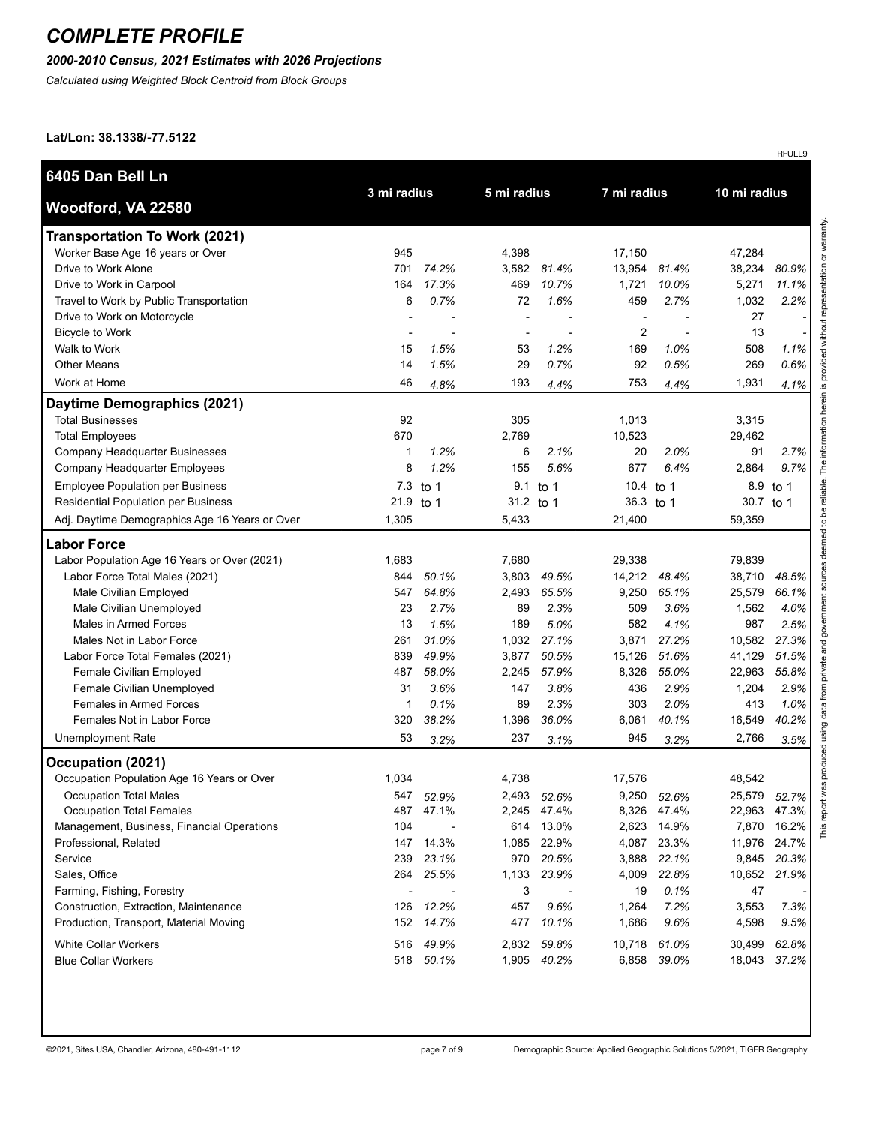### *2000-2010 Census, 2021 Estimates with 2026 Projections*

*Calculated using Weighted Block Centroid from Block Groups*

#### **Lat/Lon: 38.1338/-77.5122**

|                                                |             |                          |             |             |                          |       |              | RFULL9   |
|------------------------------------------------|-------------|--------------------------|-------------|-------------|--------------------------|-------|--------------|----------|
| 6405 Dan Bell Ln                               |             |                          |             |             |                          |       |              |          |
| Woodford, VA 22580                             | 3 mi radius |                          | 5 mi radius |             | 7 mi radius              |       | 10 mi radius |          |
| <b>Transportation To Work (2021)</b>           |             |                          |             |             |                          |       |              |          |
| Worker Base Age 16 years or Over               | 945         |                          | 4,398       |             | 17,150                   |       | 47,284       |          |
| Drive to Work Alone                            | 701         | 74.2%                    | 3,582       | 81.4%       | 13,954                   | 81.4% | 38,234       | 80.9%    |
| Drive to Work in Carpool                       | 164         | 17.3%                    | 469         | 10.7%       | 1,721                    | 10.0% | 5,271        | 11.1%    |
| Travel to Work by Public Transportation        | 6           | 0.7%                     | 72          | 1.6%        | 459                      | 2.7%  | 1,032        | 2.2%     |
| Drive to Work on Motorcycle                    |             |                          |             |             | $\overline{\phantom{a}}$ |       | 27           |          |
| <b>Bicycle to Work</b>                         |             |                          |             |             | 2                        |       | 13           |          |
| Walk to Work                                   | 15          | 1.5%                     | 53          | 1.2%        | 169                      | 1.0%  | 508          | $1.1\%$  |
| <b>Other Means</b>                             | 14          | 1.5%                     | 29          | 0.7%        | 92                       | 0.5%  | 269          | 0.6%     |
| Work at Home                                   | 46          | 4.8%                     | 193         | 4.4%        | 753                      | 4.4%  | 1,931        | 4.1%     |
| Daytime Demographics (2021)                    |             |                          |             |             |                          |       |              |          |
| <b>Total Businesses</b>                        | 92          |                          | 305         |             | 1,013                    |       | 3,315        |          |
| <b>Total Employees</b>                         | 670         |                          | 2,769       |             | 10,523                   |       | 29,462       |          |
| Company Headquarter Businesses                 | 1           | 1.2%                     | 6           | 2.1%        | 20                       | 2.0%  | 91           | 2.7%     |
| Company Headquarter Employees                  | 8           | 1.2%                     | 155         | 5.6%        | 677                      | 6.4%  | 2,864        | 9.7%     |
| <b>Employee Population per Business</b>        | 7.3         | to 1                     |             | 9.1 to 1    | 10.4                     | to 1  |              | 8.9 to 1 |
| <b>Residential Population per Business</b>     | 21.9        | to 1                     | 31.2 to 1   |             | 36.3 to 1                |       | 30.7 to 1    |          |
| Adj. Daytime Demographics Age 16 Years or Over | 1,305       |                          | 5,433       |             | 21,400                   |       | 59,359       |          |
| <b>Labor Force</b>                             |             |                          |             |             |                          |       |              |          |
| Labor Population Age 16 Years or Over (2021)   | 1,683       |                          | 7,680       |             | 29,338                   |       | 79,839       |          |
| Labor Force Total Males (2021)                 | 844         | 50.1%                    | 3,803       | 49.5%       | 14,212                   | 48.4% | 38,710       | 48.5%    |
| Male Civilian Employed                         | 547         | 64.8%                    | 2,493       | 65.5%       | 9,250                    | 65.1% | 25,579       | 66.1%    |
| Male Civilian Unemployed                       | 23          | 2.7%                     | 89          | 2.3%        | 509                      | 3.6%  | 1,562        | 4.0%     |
| Males in Armed Forces                          | 13          | 1.5%                     | 189         | 5.0%        | 582                      | 4.1%  | 987          | 2.5%     |
| Males Not in Labor Force                       | 261         | 31.0%                    | 1,032       | 27.1%       | 3,871                    | 27.2% | 10,582       | 27.3%    |
| Labor Force Total Females (2021)               | 839         | 49.9%                    | 3,877       | 50.5%       | 15,126                   | 51.6% | 41,129       | 51.5%    |
| Female Civilian Employed                       | 487         | 58.0%                    | 2,245       | 57.9%       | 8,326                    | 55.0% | 22,963       | 55.8%    |
| Female Civilian Unemployed                     | 31          | 3.6%                     | 147         | 3.8%        | 436                      | 2.9%  | 1,204        | 2.9%     |
| <b>Females in Armed Forces</b>                 | 1           | 0.1%                     | 89          | 2.3%        | 303                      | 2.0%  | 413          | 1.0%     |
| Females Not in Labor Force                     | 320         | 38.2%                    | 1,396       | 36.0%       | 6,061                    | 40.1% | 16,549       | 40.2%    |
| <b>Unemployment Rate</b>                       | 53          | 3.2%                     | 237         | 3.1%        | 945                      | 3.2%  | 2,766        | 3.5%     |
| Occupation (2021)                              |             |                          |             |             |                          |       |              |          |
| Occupation Population Age 16 Years or Over     | 1,034       |                          | 4,738       |             | 17,576                   |       | 48,542       |          |
| <b>Occupation Total Males</b>                  | 547         | 52.9%                    |             | 2,493 52.6% | 9,250                    | 52.6% | 25,579       | 52.7%    |
| Occupation Total Females                       | 487         | 47.1%                    | 2,245       | 47.4%       | 8,326                    | 47.4% | 22,963       | 47.3%    |
| Management, Business, Financial Operations     | 104         | $\overline{\phantom{a}}$ | 614         | 13.0%       | 2,623                    | 14.9% | 7,870        | 16.2%    |
| Professional, Related                          | 147         | 14.3%                    | 1,085       | 22.9%       | 4,087                    | 23.3% | 11,976       | 24.7%    |
| Service                                        | 239         | 23.1%                    |             | 970 20.5%   | 3,888                    | 22.1% | 9,845        | 20.3%    |
| Sales, Office                                  |             | 264 25.5%                | 1,133       | 23.9%       | 4,009                    | 22.8% | 10,652       | 21.9%    |
| Farming, Fishing, Forestry                     |             |                          | 3           |             | 19                       | 0.1%  | 47           |          |
| Construction, Extraction, Maintenance          | 126         | 12.2%                    | 457         | 9.6%        | 1,264                    | 7.2%  | 3,553        | 7.3%     |
| Production, Transport, Material Moving         | 152         | 14.7%                    | 477         | 10.1%       | 1,686                    | 9.6%  | 4,598        | 9.5%     |
| <b>White Collar Workers</b>                    | 516         | 49.9%                    | 2,832       | 59.8%       | 10,718                   | 61.0% | 30,499       | 62.8%    |
| <b>Blue Collar Workers</b>                     |             | 518 50.1%                | 1,905       | 40.2%       | 6,858                    | 39.0% | 18,043       | 37.2%    |
|                                                |             |                          |             |             |                          |       |              |          |

This report was produced using data from private and government sources deemed to be reliable. The information herein is provided without representation or warranty.

This report was produced using data from private and government sources deemed to be reliable. The information herein is provided without representation or warranty.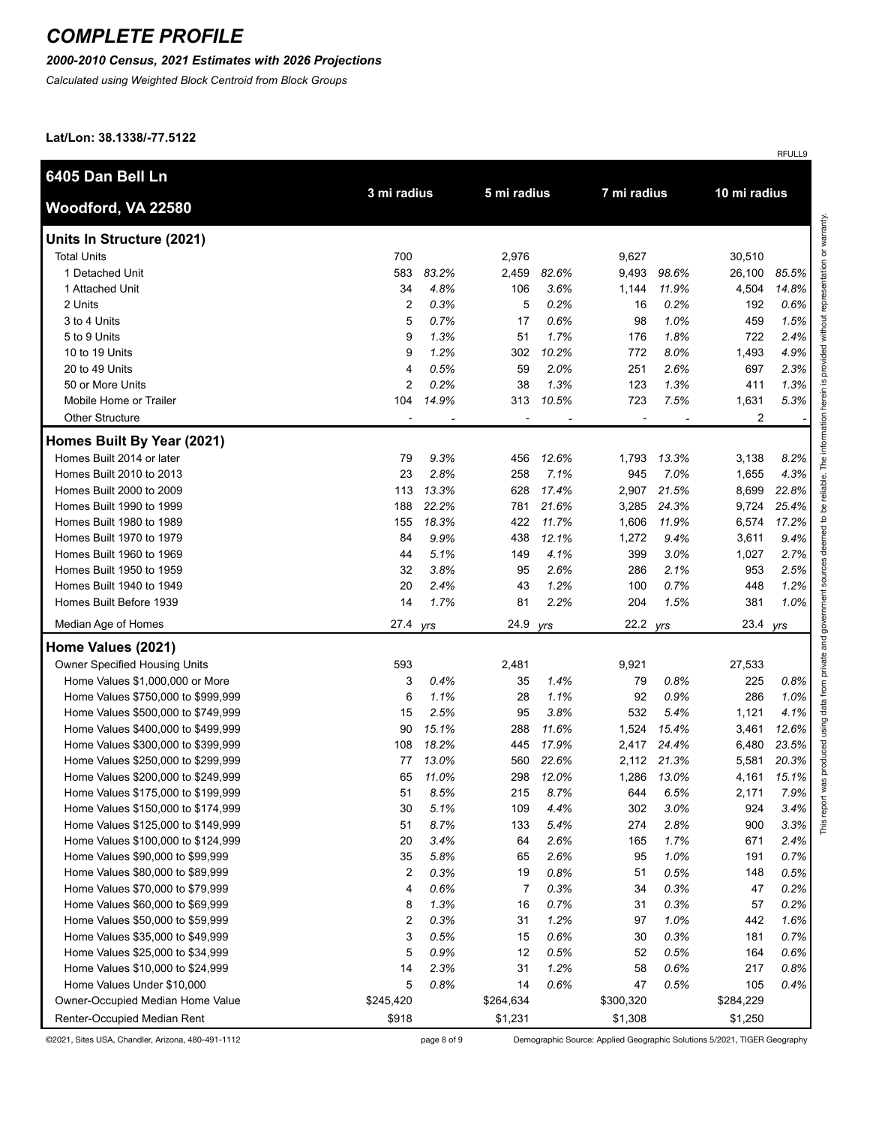#### *2000-2010 Census, 2021 Estimates with 2026 Projections*

*Calculated using Weighted Block Centroid from Block Groups*

**Lat/Lon: 38.1338/-77.5122**

| 6405 Dan Bell Ln                     |                |                            |           |       |             |       |              |       |  |
|--------------------------------------|----------------|----------------------------|-----------|-------|-------------|-------|--------------|-------|--|
| Woodford, VA 22580                   |                | 3 mi radius<br>5 mi radius |           |       | 7 mi radius |       | 10 mi radius |       |  |
| Units In Structure (2021)            |                |                            |           |       |             |       |              |       |  |
| <b>Total Units</b>                   | 700            |                            | 2,976     |       | 9,627       |       | 30,510       |       |  |
| 1 Detached Unit                      | 583            | 83.2%                      | 2,459     | 82.6% | 9,493       | 98.6% | 26,100       | 85.5% |  |
| 1 Attached Unit                      | 34             | 4.8%                       | 106       | 3.6%  | 1,144       | 11.9% | 4,504        | 14.8% |  |
| 2 Units                              | 2              | 0.3%                       | 5         | 0.2%  | 16          | 0.2%  | 192          | 0.6%  |  |
| 3 to 4 Units                         | 5              | 0.7%                       | 17        | 0.6%  | 98          | 1.0%  | 459          | 1.5%  |  |
| 5 to 9 Units                         | 9              | 1.3%                       | 51        | 1.7%  | 176         | 1.8%  | 722          | 2.4%  |  |
| 10 to 19 Units                       | 9              | 1.2%                       | 302       | 10.2% | 772         | 8.0%  | 1,493        | 4.9%  |  |
| 20 to 49 Units                       | $\overline{4}$ | 0.5%                       | 59        | 2.0%  | 251         | 2.6%  | 697          | 2.3%  |  |
| 50 or More Units                     | $\overline{2}$ | 0.2%                       | 38        | 1.3%  | 123         | 1.3%  | 411          | 1.3%  |  |
| Mobile Home or Trailer               | 104            | 14.9%                      | 313       | 10.5% | 723         | 7.5%  | 1,631        | 5.3%  |  |
| <b>Other Structure</b>               |                |                            |           |       |             |       | 2            |       |  |
| Homes Built By Year (2021)           |                |                            |           |       |             |       |              |       |  |
| Homes Built 2014 or later            | 79             | 9.3%                       | 456       | 12.6% | 1,793       | 13.3% | 3,138        | 8.2%  |  |
| Homes Built 2010 to 2013             | 23             | 2.8%                       | 258       | 7.1%  | 945         | 7.0%  | 1,655        | 4.3%  |  |
| Homes Built 2000 to 2009             | 113            | 13.3%                      | 628       | 17.4% | 2,907       | 21.5% | 8,699        | 22.8% |  |
| Homes Built 1990 to 1999             | 188            | 22.2%                      | 781       | 21.6% | 3,285       | 24.3% | 9,724        | 25.4% |  |
| Homes Built 1980 to 1989             | 155            | 18.3%                      | 422       | 11.7% | 1,606       | 11.9% | 6,574        | 17.2% |  |
| Homes Built 1970 to 1979             | 84             | 9.9%                       | 438       | 12.1% | 1,272       | 9.4%  | 3,611        | 9.4%  |  |
| Homes Built 1960 to 1969             | 44             | 5.1%                       | 149       | 4.1%  | 399         | 3.0%  | 1,027        | 2.7%  |  |
| Homes Built 1950 to 1959             | 32             | 3.8%                       | 95        | 2.6%  | 286         | 2.1%  | 953          | 2.5%  |  |
| Homes Built 1940 to 1949             | 20             | 2.4%                       | 43        | 1.2%  | 100         | 0.7%  | 448          | 1.2%  |  |
| Homes Built Before 1939              | 14             | 1.7%                       | 81        | 2.2%  | 204         | 1.5%  | 381          | 1.0%  |  |
| Median Age of Homes                  | 27.4           | yrs                        | 24.9 yrs  |       | 22.2 yrs    |       | 23.4 yrs     |       |  |
| Home Values (2021)                   |                |                            |           |       |             |       |              |       |  |
| <b>Owner Specified Housing Units</b> | 593            |                            | 2,481     |       | 9,921       |       | 27,533       |       |  |
| Home Values \$1,000,000 or More      | 3              | 0.4%                       | 35        | 1.4%  | 79          | 0.8%  | 225          | 0.8%  |  |
| Home Values \$750,000 to \$999,999   | 6              | 1.1%                       | 28        | 1.1%  | 92          | 0.9%  | 286          | 1.0%  |  |
| Home Values \$500,000 to \$749,999   | 15             | 2.5%                       | 95        | 3.8%  | 532         | 5.4%  | 1,121        | 4.1%  |  |
| Home Values \$400,000 to \$499,999   | 90             | 15.1%                      | 288       | 11.6% | 1,524       | 15.4% | 3,461        | 12.6% |  |
| Home Values \$300,000 to \$399,999   | 108            | 18.2%                      | 445       | 17.9% | 2,417       | 24.4% | 6,480        | 23.5% |  |
| Home Values \$250,000 to \$299,999   | 77             | 13.0%                      | 560       | 22.6% | 2,112       | 21.3% | 5,581        | 20.3% |  |
| Home Values \$200,000 to \$249,999   | 65             | 11.0%                      | 298       | 12.0% | 1,286       | 13.0% | 4,161        | 15.1% |  |
| Home Values \$175,000 to \$199,999   | 51             | 8.5%                       | 215       | 8.7%  | 644         | 6.5%  | 2,171        | 7.9%  |  |
| Home Values \$150,000 to \$174,999   | 30             | 5.1%                       | 109       | 4.4%  | 302         | 3.0%  | 924          | 3.4%  |  |
| Home Values \$125,000 to \$149,999   | 51             | 8.7%                       | 133       | 5.4%  | 274         | 2.8%  | 900          | 3.3%  |  |
| Home Values \$100,000 to \$124,999   | 20             | 3.4%                       | 64        | 2.6%  | 165         | 1.7%  | 671          | 2.4%  |  |
| Home Values \$90,000 to \$99,999     | 35             | 5.8%                       | 65        | 2.6%  | 95          | 1.0%  | 191          | 0.7%  |  |
| Home Values \$80,000 to \$89,999     | 2              | 0.3%                       | 19        | 0.8%  | 51          | 0.5%  | 148          | 0.5%  |  |
| Home Values \$70,000 to \$79,999     | 4              | 0.6%                       | 7         | 0.3%  | 34          | 0.3%  | 47           | 0.2%  |  |
| Home Values \$60,000 to \$69,999     | 8              | 1.3%                       | 16        | 0.7%  | 31          | 0.3%  | 57           | 0.2%  |  |
| Home Values \$50,000 to \$59,999     | 2              | 0.3%                       | 31        | 1.2%  | 97          | 1.0%  | 442          | 1.6%  |  |
| Home Values \$35,000 to \$49,999     | 3              | 0.5%                       | 15        | 0.6%  | 30          | 0.3%  | 181          | 0.7%  |  |
| Home Values \$25,000 to \$34,999     | 5              | 0.9%                       | 12        | 0.5%  | 52          | 0.5%  | 164          | 0.6%  |  |
| Home Values \$10,000 to \$24,999     | 14             | 2.3%                       | 31        | 1.2%  | 58          | 0.6%  | 217          | 0.8%  |  |
| Home Values Under \$10,000           | 5              | 0.8%                       | 14        | 0.6%  | 47          | 0.5%  | 105          | 0.4%  |  |
| Owner-Occupied Median Home Value     | \$245,420      |                            | \$264,634 |       | \$300,320   |       | \$284,229    |       |  |
| Renter-Occupied Median Rent          | \$918          |                            | \$1,231   |       | \$1,308     |       | \$1,250      |       |  |

©2021, Sites USA, Chandler, Arizona, 480-491-1112 page 8 of 9 Demographic Source: Applied Geographic Solutions 5/2021, TIGER Geography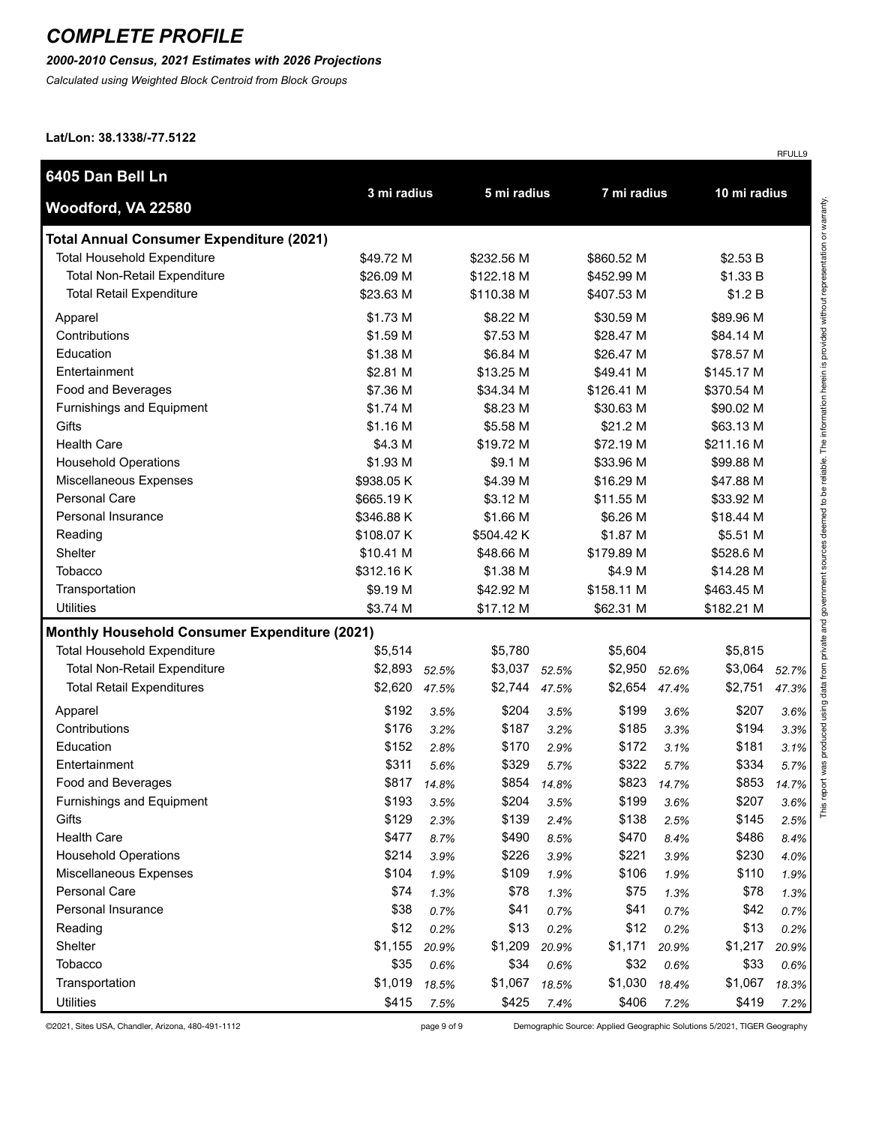#### *2000-2010 Census, 2021 Estimates with 2026 Projections*

*Calculated using Weighted Block Centroid from Block Groups*

**Lat/Lon: 38.1338/-77.5122**

| 6405 Dan Bell Ln                                     |             |             |             |       | 7 mi radius |       | 10 mi radius |       |
|------------------------------------------------------|-------------|-------------|-------------|-------|-------------|-------|--------------|-------|
| Woodford, VA 22580                                   | 3 mi radius |             | 5 mi radius |       |             |       |              |       |
| <b>Total Annual Consumer Expenditure (2021)</b>      |             |             |             |       |             |       |              |       |
| <b>Total Household Expenditure</b>                   | \$49.72 M   |             | \$232.56 M  |       | \$860.52 M  |       | \$2.53 B     |       |
| <b>Total Non-Retail Expenditure</b>                  | \$26.09 M   |             | \$122.18 M  |       | \$452.99 M  |       | \$1.33 B     |       |
| <b>Total Retail Expenditure</b>                      | \$23.63 M   |             | \$110.38 M  |       | \$407.53 M  |       | \$1.2 B      |       |
| Apparel                                              | \$1.73 M    |             | \$8.22 M    |       | \$30.59 M   |       | \$89.96 M    |       |
| Contributions                                        | \$1.59 M    |             | \$7.53 M    |       | \$28.47 M   |       | \$84.14 M    |       |
| Education                                            | \$1.38 M    |             | \$6.84 M    |       | \$26.47 M   |       | \$78.57 M    |       |
| Entertainment                                        | \$2.81 M    |             | \$13.25 M   |       | \$49.41 M   |       | \$145.17 M   |       |
| Food and Beverages                                   | \$7.36 M    |             | \$34.34 M   |       | \$126.41 M  |       | \$370.54 M   |       |
| Furnishings and Equipment                            | \$1.74 M    |             | \$8.23 M    |       | \$30.63 M   |       | \$90.02 M    |       |
| Gifts                                                | \$1.16 M    |             | \$5.58 M    |       | \$21.2 M    |       | \$63.13 M    |       |
| <b>Health Care</b>                                   | \$4.3 M     |             | \$19.72 M   |       | \$72.19 M   |       | \$211.16 M   |       |
| <b>Household Operations</b>                          | \$1.93 M    |             | \$9.1 M     |       | \$33.96 M   |       | \$99.88 M    |       |
| Miscellaneous Expenses                               | \$938.05 K  |             | \$4.39 M    |       | \$16.29 M   |       | \$47.88 M    |       |
| <b>Personal Care</b>                                 | \$665.19K   |             | \$3.12 M    |       | \$11.55 M   |       | \$33.92 M    |       |
| Personal Insurance                                   | \$346.88 K  |             | \$1.66 M    |       | \$6.26 M    |       | \$18.44 M    |       |
| Reading                                              | \$108.07 K  |             | \$504.42 K  |       | \$1.87 M    |       | \$5.51 M     |       |
| Shelter                                              | \$10.41 M   |             | \$48.66 M   |       | \$179.89 M  |       | \$528.6 M    |       |
| <b>Tobacco</b>                                       | \$312.16 K  |             | \$1.38 M    |       | \$4.9 M     |       | \$14.28 M    |       |
| Transportation                                       | \$9.19 M    |             | \$42.92 M   |       | \$158.11 M  |       | \$463.45 M   |       |
| <b>Utilities</b>                                     | \$3.74 M    |             | \$17.12 M   |       | \$62.31 M   |       | \$182.21 M   |       |
| <b>Monthly Household Consumer Expenditure (2021)</b> |             |             |             |       |             |       |              |       |
| <b>Total Household Expenditure</b>                   | \$5,514     |             | \$5,780     |       | \$5,604     |       | \$5,815      |       |
| <b>Total Non-Retail Expenditure</b>                  | \$2,893     | 52.5%       | \$3,037     | 52.5% | \$2,950     | 52.6% | \$3,064      | 52.7% |
| <b>Total Retail Expenditures</b>                     | \$2,620     | 47.5%       | \$2,744     | 47.5% | \$2,654     | 47.4% | \$2,751      | 47.3% |
| Apparel                                              | \$192       | 3.5%        | \$204       | 3.5%  | \$199       | 3.6%  | \$207        | 3.6%  |
| Contributions                                        | \$176       | 3.2%        | \$187       | 3.2%  | \$185       | 3.3%  | \$194        | 3.3%  |
| Education                                            | \$152       | 2.8%        | \$170       | 2.9%  | \$172       | 3.1%  | \$181        | 3.1%  |
| Entertainment                                        | \$311       | 5.6%        | \$329       | 5.7%  | \$322       | 5.7%  | \$334        | 5.7%  |
| Food and Beverages                                   |             | \$817 14.8% | \$854       | 14.8% | \$823       | 14.7% | \$853        | 14.7% |
| Furnishings and Equipment                            | \$193       | 3.5%        | \$204       | 3.5%  | \$199       | 3.6%  | \$207        | 3.6%  |
| Gifts                                                | \$129       | 2.3%        | \$139       | 2.4%  | \$138       | 2.5%  | \$145        | 2.5%  |
| <b>Health Care</b>                                   | \$477       | 8.7%        | \$490       | 8.5%  | \$470       | 8.4%  | \$486        | 8.4%  |
| <b>Household Operations</b>                          | \$214       | 3.9%        | \$226       | 3.9%  | \$221       | 3.9%  | \$230        | 4.0%  |
| Miscellaneous Expenses                               | \$104       | 1.9%        | \$109       | 1.9%  | \$106       | 1.9%  | \$110        | 1.9%  |
| Personal Care                                        | \$74        | 1.3%        | \$78        | 1.3%  | \$75        | 1.3%  | \$78         | 1.3%  |
| Personal Insurance                                   | \$38        | 0.7%        | \$41        | 0.7%  | \$41        | 0.7%  | \$42         | 0.7%  |
| Reading                                              | \$12        | 0.2%        | \$13        | 0.2%  | \$12        | 0.2%  | \$13         | 0.2%  |
| Shelter                                              | \$1,155     | 20.9%       | \$1,209     | 20.9% | \$1,171     | 20.9% | \$1,217      | 20.9% |
| Tobacco                                              | \$35        | 0.6%        | \$34        | 0.6%  | \$32        | 0.6%  | \$33         | 0.6%  |
| Transportation                                       | \$1,019     | 18.5%       | \$1,067     | 18.5% | \$1,030     | 18.4% | \$1,067      | 18.3% |
| <b>Utilities</b>                                     | \$415       | 7.5%        | \$425       | 7.4%  | \$406       | 7.2%  | \$419        | 7.2%  |

©2021, Sites USA, Chandler, Arizona, 480-491-1112 page 9 of 9 Demographic Source: Applied Geographic Solutions 5/2021, TIGER Geography